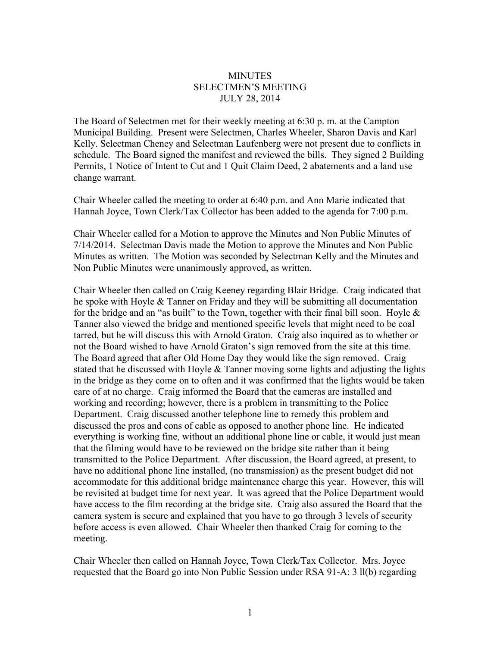## **MINUTES** SELECTMEN'S MEETING JULY 28, 2014

The Board of Selectmen met for their weekly meeting at 6:30 p. m. at the Campton Municipal Building. Present were Selectmen, Charles Wheeler, Sharon Davis and Karl Kelly. Selectman Cheney and Selectman Laufenberg were not present due to conflicts in schedule. The Board signed the manifest and reviewed the bills. They signed 2 Building Permits, 1 Notice of Intent to Cut and 1 Quit Claim Deed, 2 abatements and a land use change warrant.

Chair Wheeler called the meeting to order at 6:40 p.m. and Ann Marie indicated that Hannah Joyce, Town Clerk/Tax Collector has been added to the agenda for 7:00 p.m.

Chair Wheeler called for a Motion to approve the Minutes and Non Public Minutes of 7/14/2014. Selectman Davis made the Motion to approve the Minutes and Non Public Minutes as written. The Motion was seconded by Selectman Kelly and the Minutes and Non Public Minutes were unanimously approved, as written.

Chair Wheeler then called on Craig Keeney regarding Blair Bridge. Craig indicated that he spoke with Hoyle & Tanner on Friday and they will be submitting all documentation for the bridge and an "as built" to the Town, together with their final bill soon. Hoyle  $\&$ Tanner also viewed the bridge and mentioned specific levels that might need to be coal tarred, but he will discuss this with Arnold Graton. Craig also inquired as to whether or not the Board wished to have Arnold Graton's sign removed from the site at this time. The Board agreed that after Old Home Day they would like the sign removed. Craig stated that he discussed with Hoyle  $&$  Tanner moving some lights and adjusting the lights in the bridge as they come on to often and it was confirmed that the lights would be taken care of at no charge. Craig informed the Board that the cameras are installed and working and recording; however, there is a problem in transmitting to the Police Department. Craig discussed another telephone line to remedy this problem and discussed the pros and cons of cable as opposed to another phone line. He indicated everything is working fine, without an additional phone line or cable, it would just mean that the filming would have to be reviewed on the bridge site rather than it being transmitted to the Police Department. After discussion, the Board agreed, at present, to have no additional phone line installed, (no transmission) as the present budget did not accommodate for this additional bridge maintenance charge this year. However, this will be revisited at budget time for next year. It was agreed that the Police Department would have access to the film recording at the bridge site. Craig also assured the Board that the camera system is secure and explained that you have to go through 3 levels of security before access is even allowed. Chair Wheeler then thanked Craig for coming to the meeting.

Chair Wheeler then called on Hannah Joyce, Town Clerk/Tax Collector. Mrs. Joyce requested that the Board go into Non Public Session under RSA 91-A: 3 ll(b) regarding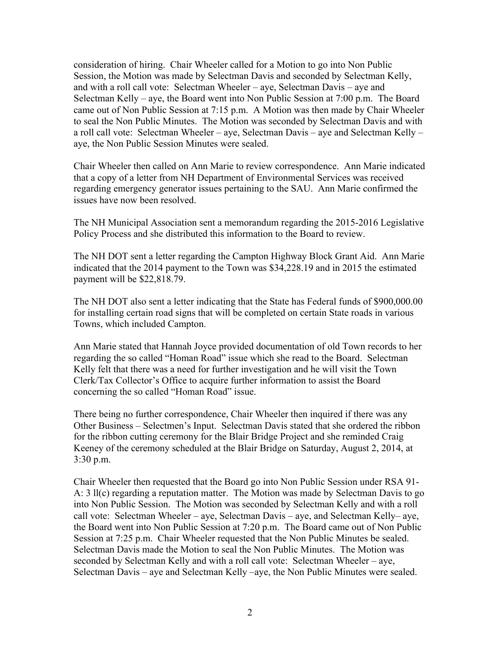consideration of hiring. Chair Wheeler called for a Motion to go into Non Public Session, the Motion was made by Selectman Davis and seconded by Selectman Kelly, and with a roll call vote: Selectman Wheeler – aye, Selectman Davis – aye and Selectman Kelly – aye, the Board went into Non Public Session at 7:00 p.m. The Board came out of Non Public Session at 7:15 p.m. A Motion was then made by Chair Wheeler to seal the Non Public Minutes. The Motion was seconded by Selectman Davis and with a roll call vote: Selectman Wheeler – aye, Selectman Davis – aye and Selectman Kelly – aye, the Non Public Session Minutes were sealed.

Chair Wheeler then called on Ann Marie to review correspondence. Ann Marie indicated that a copy of a letter from NH Department of Environmental Services was received regarding emergency generator issues pertaining to the SAU. Ann Marie confirmed the issues have now been resolved.

The NH Municipal Association sent a memorandum regarding the 2015-2016 Legislative Policy Process and she distributed this information to the Board to review.

The NH DOT sent a letter regarding the Campton Highway Block Grant Aid. Ann Marie indicated that the 2014 payment to the Town was \$34,228.19 and in 2015 the estimated payment will be \$22,818.79.

The NH DOT also sent a letter indicating that the State has Federal funds of \$900,000.00 for installing certain road signs that will be completed on certain State roads in various Towns, which included Campton.

Ann Marie stated that Hannah Joyce provided documentation of old Town records to her regarding the so called "Homan Road" issue which she read to the Board. Selectman Kelly felt that there was a need for further investigation and he will visit the Town Clerk/Tax Collector's Office to acquire further information to assist the Board concerning the so called "Homan Road" issue.

There being no further correspondence, Chair Wheeler then inquired if there was any Other Business – Selectmen's Input. Selectman Davis stated that she ordered the ribbon for the ribbon cutting ceremony for the Blair Bridge Project and she reminded Craig Keeney of the ceremony scheduled at the Blair Bridge on Saturday, August 2, 2014, at 3:30 p.m.

Chair Wheeler then requested that the Board go into Non Public Session under RSA 91- A: 3 ll(c) regarding a reputation matter. The Motion was made by Selectman Davis to go into Non Public Session. The Motion was seconded by Selectman Kelly and with a roll call vote: Selectman Wheeler – aye, Selectman Davis – aye, and Selectman Kelly– aye, the Board went into Non Public Session at 7:20 p.m. The Board came out of Non Public Session at 7:25 p.m. Chair Wheeler requested that the Non Public Minutes be sealed. Selectman Davis made the Motion to seal the Non Public Minutes. The Motion was seconded by Selectman Kelly and with a roll call vote: Selectman Wheeler – aye, Selectman Davis – aye and Selectman Kelly –aye, the Non Public Minutes were sealed.